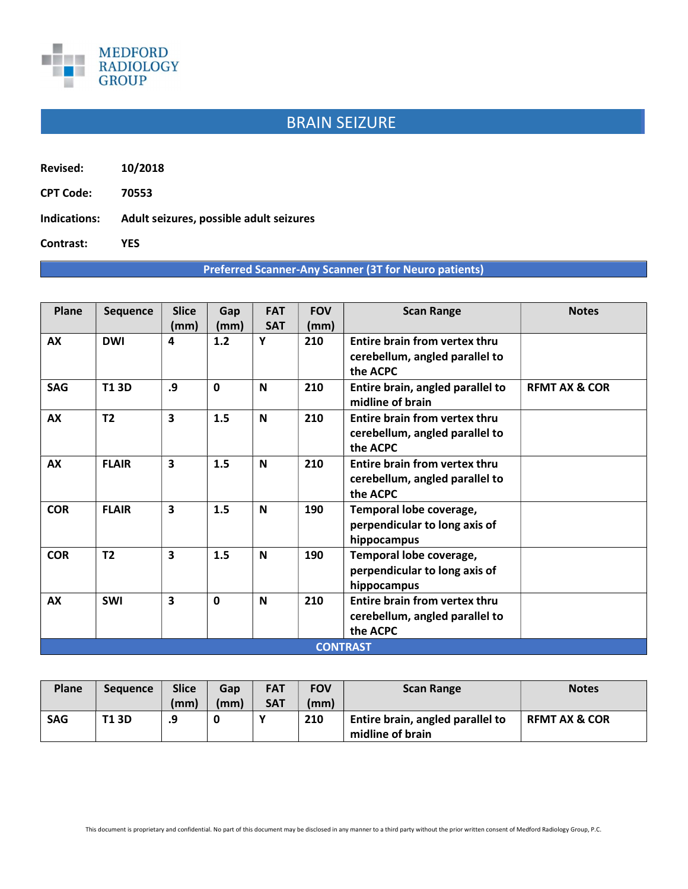

## BRAIN SEIZURE

Revised: 10/2018

CPT Code: 70553

Indications: Adult seizures, possible adult seizures

Contrast: YES

## Preferred Scanner-Any Scanner (3T for Neuro patients)

| Plane           | <b>Sequence</b> | <b>Slice</b>            | Gap          | <b>FAT</b> | <b>FOV</b> | <b>Scan Range</b>                                    | <b>Notes</b>             |  |  |  |
|-----------------|-----------------|-------------------------|--------------|------------|------------|------------------------------------------------------|--------------------------|--|--|--|
|                 |                 | (mm)                    | (mm)         | <b>SAT</b> | (mm)       |                                                      |                          |  |  |  |
| <b>AX</b>       | <b>DWI</b>      | 4                       | 1.2          | Y          | 210        | Entire brain from vertex thru                        |                          |  |  |  |
|                 |                 |                         |              |            |            | cerebellum, angled parallel to<br>the ACPC           |                          |  |  |  |
| <b>SAG</b>      | <b>T13D</b>     | .9                      | $\mathbf{0}$ | N          | 210        | Entire brain, angled parallel to<br>midline of brain | <b>REMT AX &amp; COR</b> |  |  |  |
| AX              | T <sub>2</sub>  | $\overline{\mathbf{3}}$ | 1.5          | N          | 210        | <b>Entire brain from vertex thru</b>                 |                          |  |  |  |
|                 |                 |                         |              |            |            | cerebellum, angled parallel to                       |                          |  |  |  |
|                 |                 |                         |              |            |            | the ACPC                                             |                          |  |  |  |
| AX              | <b>FLAIR</b>    | 3                       | 1.5          | N          | 210        | Entire brain from vertex thru                        |                          |  |  |  |
|                 |                 |                         |              |            |            | cerebellum, angled parallel to                       |                          |  |  |  |
|                 |                 |                         |              |            |            | the ACPC                                             |                          |  |  |  |
| <b>COR</b>      | <b>FLAIR</b>    | $\overline{\mathbf{3}}$ | 1.5          | N          | 190        | Temporal lobe coverage,                              |                          |  |  |  |
|                 |                 |                         |              |            |            | perpendicular to long axis of                        |                          |  |  |  |
|                 |                 |                         |              |            |            | hippocampus                                          |                          |  |  |  |
| <b>COR</b>      | T <sub>2</sub>  | $\overline{\mathbf{3}}$ | 1.5          | N          | 190        | Temporal lobe coverage,                              |                          |  |  |  |
|                 |                 |                         |              |            |            | perpendicular to long axis of                        |                          |  |  |  |
|                 |                 |                         |              |            |            | hippocampus                                          |                          |  |  |  |
| <b>AX</b>       | <b>SWI</b>      | $\overline{\mathbf{3}}$ | $\mathbf{0}$ | N          | 210        | Entire brain from vertex thru                        |                          |  |  |  |
|                 |                 |                         |              |            |            | cerebellum, angled parallel to                       |                          |  |  |  |
|                 |                 |                         |              |            |            | the ACPC                                             |                          |  |  |  |
| <b>CONTRAST</b> |                 |                         |              |            |            |                                                      |                          |  |  |  |

| Plane      | <b>Sequence</b> | <b>Slice</b> | Gap  | <b>FAT</b> | <b>FOV</b> | <b>Scan Range</b>                | <b>Notes</b>             |
|------------|-----------------|--------------|------|------------|------------|----------------------------------|--------------------------|
|            |                 | (mm)         | (mm) | <b>SAT</b> | (mm)       |                                  |                          |
| <b>SAG</b> | <b>T13D</b>     | .9           |      |            | 210        | Entire brain, angled parallel to | <b>RFMT AX &amp; COR</b> |
|            |                 |              |      |            |            | midline of brain                 |                          |